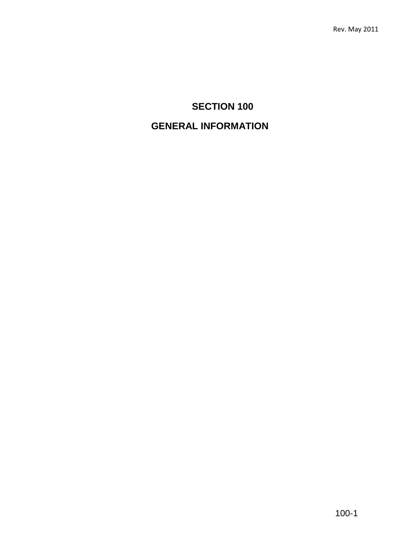# **SECTION 100**

# **GENERAL INFORMATION**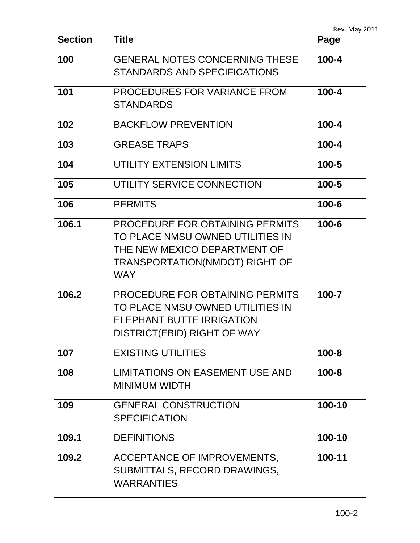| <b>Section</b> | <b>Title</b>                                                                                                                                        | Page      |
|----------------|-----------------------------------------------------------------------------------------------------------------------------------------------------|-----------|
| 100            | <b>GENERAL NOTES CONCERNING THESE</b><br><b>STANDARDS AND SPECIFICATIONS</b>                                                                        | $100 - 4$ |
| 101            | PROCEDURES FOR VARIANCE FROM<br><b>STANDARDS</b>                                                                                                    | $100 - 4$ |
| 102            | <b>BACKFLOW PREVENTION</b>                                                                                                                          | $100 - 4$ |
| 103            | <b>GREASE TRAPS</b>                                                                                                                                 | $100 - 4$ |
| 104            | UTILITY EXTENSION LIMITS                                                                                                                            | $100 - 5$ |
| 105            | UTILITY SERVICE CONNECTION                                                                                                                          | $100 - 5$ |
| 106            | <b>PERMITS</b>                                                                                                                                      | $100 - 6$ |
| 106.1          | PROCEDURE FOR OBTAINING PERMITS<br>TO PLACE NMSU OWNED UTILITIES IN<br>THE NEW MEXICO DEPARTMENT OF<br>TRANSPORTATION(NMDOT) RIGHT OF<br><b>WAY</b> | $100 - 6$ |
| 106.2          | PROCEDURE FOR OBTAINING PERMITS<br>TO PLACE NMSU OWNED UTILITIES IN<br><b>ELEPHANT BUTTE IRRIGATION</b><br>DISTRICT(EBID) RIGHT OF WAY              | 100-7     |
| 107            | <b>EXISTING UTILITIES</b>                                                                                                                           | $100 - 8$ |
| 108            | <b>LIMITATIONS ON EASEMENT USE AND</b><br><b>MINIMUM WIDTH</b>                                                                                      | $100 - 8$ |
| 109            | <b>GENERAL CONSTRUCTION</b><br><b>SPECIFICATION</b>                                                                                                 | 100-10    |
| 109.1          | <b>DEFINITIONS</b>                                                                                                                                  | 100-10    |
| 109.2          | ACCEPTANCE OF IMPROVEMENTS,<br>SUBMITTALS, RECORD DRAWINGS,<br><b>WARRANTIES</b>                                                                    | 100-11    |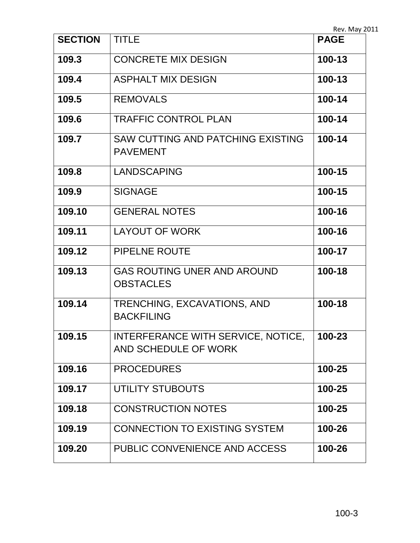| <b>SECTION</b> | <b>TITLE</b>                                                     | <b>PAGE</b> |
|----------------|------------------------------------------------------------------|-------------|
| 109.3          | <b>CONCRETE MIX DESIGN</b>                                       | 100-13      |
| 109.4          | <b>ASPHALT MIX DESIGN</b>                                        | 100-13      |
| 109.5          | <b>REMOVALS</b>                                                  | 100-14      |
| 109.6          | <b>TRAFFIC CONTROL PLAN</b>                                      | 100-14      |
| 109.7          | <b>SAW CUTTING AND PATCHING EXISTING</b><br><b>PAVEMENT</b>      | 100-14      |
| 109.8          | <b>LANDSCAPING</b>                                               | 100-15      |
| 109.9          | <b>SIGNAGE</b>                                                   | 100-15      |
| 109.10         | <b>GENERAL NOTES</b>                                             | 100-16      |
| 109.11         | <b>LAYOUT OF WORK</b>                                            | 100-16      |
| 109.12         | PIPELNE ROUTE                                                    | 100-17      |
| 109.13         | <b>GAS ROUTING UNER AND AROUND</b><br><b>OBSTACLES</b>           | 100-18      |
| 109.14         | TRENCHING, EXCAVATIONS, AND<br><b>BACKFILING</b>                 | 100-18      |
| 109.15         | <b>INTERFERANCE WITH SERVICE, NOTICE</b><br>AND SCHEDULE OF WORK | 100-23      |
| 109.16         | <b>PROCEDURES</b>                                                | 100-25      |
| 109.17         | UTILITY STUBOUTS                                                 | 100-25      |
| 109.18         | <b>CONSTRUCTION NOTES</b>                                        | 100-25      |
| 109.19         | <b>CONNECTION TO EXISTING SYSTEM</b>                             | 100-26      |
| 109.20         | PUBLIC CONVENIENCE AND ACCESS                                    | 100-26      |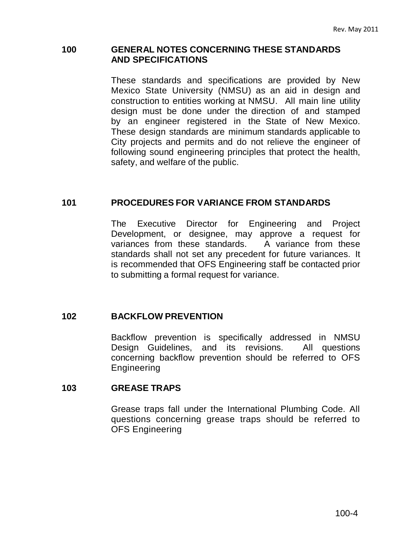#### **100 GENERAL NOTES CONCERNING THESE STANDARDS AND SPECIFICATIONS**

These standards and specifications are provided by New Mexico State University (NMSU) as an aid in design and construction to entities working at NMSU. All main line utility design must be done under the direction of and stamped by an engineer registered in the State of New Mexico. These design standards are minimum standards applicable to City projects and permits and do not relieve the engineer of following sound engineering principles that protect the health, safety, and welfare of the public.

### **101 PROCEDURES FOR VARIANCE FROM STANDARDS**

The Executive Director for Engineering and Project Development, or designee, may approve a request for variances from these standards. A variance from these standards shall not set any precedent for future variances. It is recommended that OFS Engineering staff be contacted prior to submitting a formal request for variance.

#### **102 BACKFLOW PREVENTION**

Backflow prevention is specifically addressed in NMSU Design Guidelines, and its revisions. All questions concerning backflow prevention should be referred to OFS Engineering

#### **103 GREASE TRAPS**

Grease traps fall under the International Plumbing Code. All questions concerning grease traps should be referred to OFS Engineering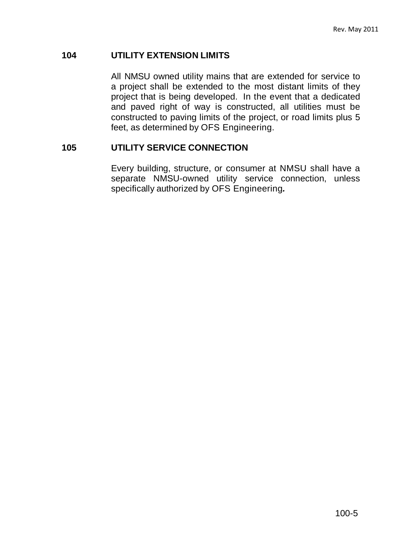### **104 UTILITY EXTENSION LIMITS**

All NMSU owned utility mains that are extended for service to a project shall be extended to the most distant limits of they project that is being developed. In the event that a dedicated and paved right of way is constructed, all utilities must be constructed to paving limits of the project, or road limits plus 5 feet, as determined by OFS Engineering.

### **105 UTILITY SERVICE CONNECTION**

Every building, structure, or consumer at NMSU shall have a separate NMSU-owned utility service connection, unless specifically authorized by OFS Engineering*.*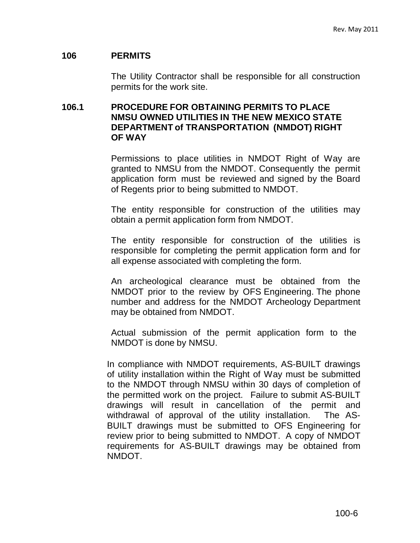### **106 PERMITS**

The Utility Contractor shall be responsible for all construction permits for the work site.

## **106.1 PROCEDURE FOR OBTAINING PERMITS TO PLACE NMSU OWNED UTILITIES IN THE NEW MEXICO STATE DEPARTMENT of TRANSPORTATION (NMDOT) RIGHT OF WAY**

Permissions to place utilities in NMDOT Right of Way are granted to NMSU from the NMDOT. Consequently the permit application form must be reviewed and signed by the Board of Regents prior to being submitted to NMDOT.

The entity responsible for construction of the utilities may obtain a permit application form from NMDOT.

The entity responsible for construction of the utilities is responsible for completing the permit application form and for all expense associated with completing the form.

An archeological clearance must be obtained from the NMDOT prior to the review by OFS Engineering. The phone number and address for the NMDOT Archeology Department may be obtained from NMDOT.

Actual submission of the permit application form to the NMDOT is done by NMSU.

In compliance with NMDOT requirements, AS-BUILT drawings of utility installation within the Right of Way must be submitted to the NMDOT through NMSU within 30 days of completion of the permitted work on the project. Failure to submit AS-BUILT drawings will result in cancellation of the permit and withdrawal of approval of the utility installation. The AS-BUILT drawings must be submitted to OFS Engineering for review prior to being submitted to NMDOT. A copy of NMDOT requirements for AS-BUILT drawings may be obtained from NMDOT.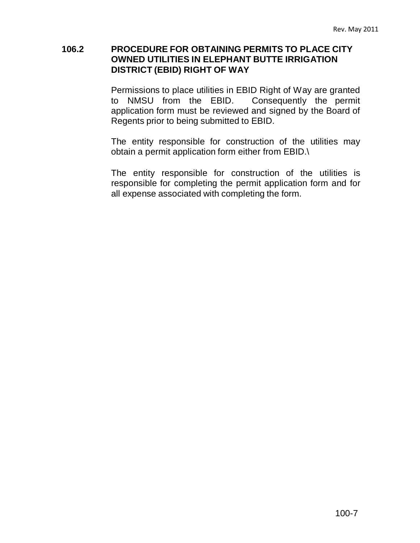## **106.2 PROCEDURE FOR OBTAINING PERMITS TO PLACE CITY OWNED UTILITIES IN ELEPHANT BUTTE IRRIGATION DISTRICT (EBID) RIGHT OF WAY**

Permissions to place utilities in EBID Right of Way are granted to NMSU from the EBID. Consequently the permit application form must be reviewed and signed by the Board of Regents prior to being submitted to EBID.

The entity responsible for construction of the utilities may obtain a permit application form either from EBID.\

The entity responsible for construction of the utilities is responsible for completing the permit application form and for all expense associated with completing the form.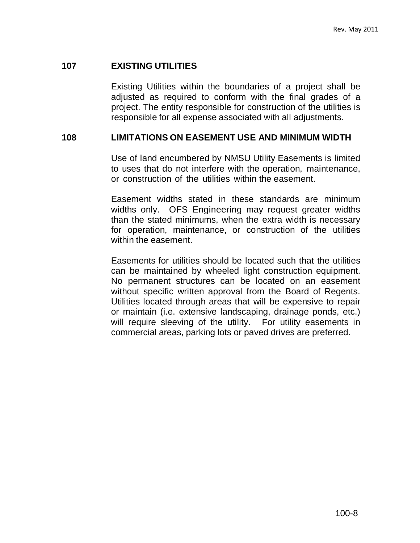## **107 EXISTING UTILITIES**

Existing Utilities within the boundaries of a project shall be adjusted as required to conform with the final grades of a project. The entity responsible for construction of the utilities is responsible for all expense associated with all adjustments.

## **108 LIMITATIONS ON EASEMENT USE AND MINIMUM WIDTH**

Use of land encumbered by NMSU Utility Easements is limited to uses that do not interfere with the operation, maintenance, or construction of the utilities within the easement.

Easement widths stated in these standards are minimum widths only. OFS Engineering may request greater widths than the stated minimums, when the extra width is necessary for operation, maintenance, or construction of the utilities within the easement.

Easements for utilities should be located such that the utilities can be maintained by wheeled light construction equipment. No permanent structures can be located on an easement without specific written approval from the Board of Regents. Utilities located through areas that will be expensive to repair or maintain (i.e. extensive landscaping, drainage ponds, etc.) will require sleeving of the utility. For utility easements in commercial areas, parking lots or paved drives are preferred.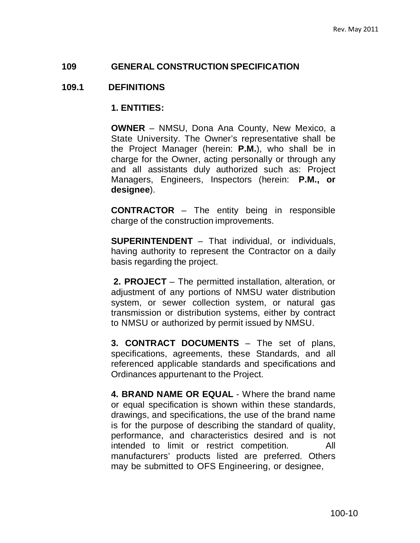#### **109 GENERAL CONSTRUCTION SPECIFICATION**

#### **109.1 DEFINITIONS**

#### **1. ENTITIES:**

**OWNER** – NMSU, Dona Ana County, New Mexico, a State University. The Owner's representative shall be the Project Manager (herein: **P.M.**), who shall be in charge for the Owner, acting personally or through any and all assistants duly authorized such as: Project Managers, Engineers, Inspectors (herein: **P.M., or designee**).

**CONTRACTOR** – The entity being in responsible charge of the construction improvements.

**SUPERINTENDENT** – That individual, or individuals, having authority to represent the Contractor on a daily basis regarding the project.

**2. PROJECT** – The permitted installation, alteration, or adjustment of any portions of NMSU water distribution system, or sewer collection system, or natural gas transmission or distribution systems, either by contract to NMSU or authorized by permit issued by NMSU.

**3. CONTRACT DOCUMENTS** – The set of plans, specifications, agreements, these Standards, and all referenced applicable standards and specifications and Ordinances appurtenant to the Project.

**4. BRAND NAME OR EQUAL** - Where the brand name or equal specification is shown within these standards, drawings, and specifications, the use of the brand name is for the purpose of describing the standard of quality, performance, and characteristics desired and is not intended to limit or restrict competition. All manufacturers' products listed are preferred. Others may be submitted to OFS Engineering, or designee,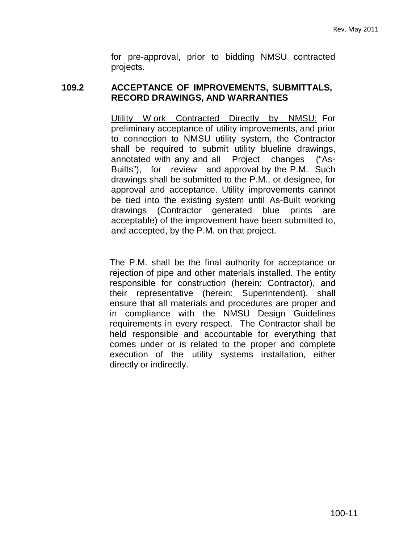for pre-approval, prior to bidding NMSU contracted projects.

### **109.2 ACCEPTANCE OF IMPROVEMENTS, SUBMITTALS, RECORD DRAWINGS, AND WARRANTIES**

Utility W ork Contracted Directly by NMSU: For preliminary acceptance of utility improvements, and prior to connection to NMSU utility system, the Contractor shall be required to submit utility blueline drawings, annotated with any and all Project changes ("As-Builts"), for review and approval by the P.M. Such drawings shall be submitted to the P.M., or designee, for approval and acceptance. Utility improvements cannot be tied into the existing system until As-Built working drawings (Contractor generated blue prints are acceptable) of the improvement have been submitted to, and accepted, by the P.M. on that project.

The P.M. shall be the final authority for acceptance or rejection of pipe and other materials installed. The entity responsible for construction (herein: Contractor), and their representative (herein: Superintendent), shall ensure that all materials and procedures are proper and in compliance with the NMSU Design Guidelines requirements in every respect. The Contractor shall be held responsible and accountable for everything that comes under or is related to the proper and complete execution of the utility systems installation, either directly or indirectly.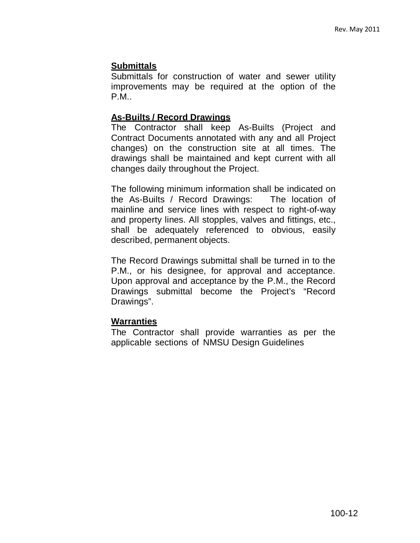# **Submittals**

Submittals for construction of water and sewer utility improvements may be required at the option of the P.M..

## **As-Builts / Record Drawings**

The Contractor shall keep As-Builts (Project and Contract Documents annotated with any and all Project changes) on the construction site at all times. The drawings shall be maintained and kept current with all changes daily throughout the Project.

The following minimum information shall be indicated on the As-Builts / Record Drawings: The location of mainline and service lines with respect to right-of-way and property lines. All stopples, valves and fittings, etc., shall be adequately referenced to obvious, easily described, permanent objects.

The Record Drawings submittal shall be turned in to the P.M., or his designee, for approval and acceptance. Upon approval and acceptance by the P.M., the Record Drawings submittal become the Project's "Record Drawings".

# **Warranties**

The Contractor shall provide warranties as per the applicable sections of NMSU Design Guidelines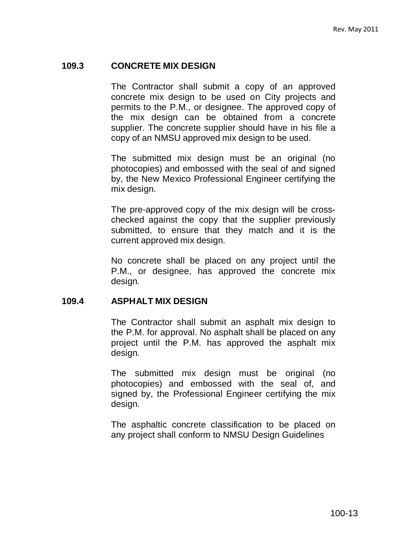## **109.3 CONCRETE MIX DESIGN**

The Contractor shall submit a copy of an approved concrete mix design to be used on City projects and permits to the P.M., or designee. The approved copy of the mix design can be obtained from a concrete supplier. The concrete supplier should have in his file a copy of an NMSU approved mix design to be used.

The submitted mix design must be an original (no photocopies) and embossed with the seal of and signed by, the New Mexico Professional Engineer certifying the mix design.

The pre-approved copy of the mix design will be crosschecked against the copy that the supplier previously submitted, to ensure that they match and it is the current approved mix design.

No concrete shall be placed on any project until the P.M., or designee, has approved the concrete mix design.

#### **109.4 ASPHALT MIX DESIGN**

The Contractor shall submit an asphalt mix design to the P.M. for approval. No asphalt shall be placed on any project until the P.M. has approved the asphalt mix design.

The submitted mix design must be original (no photocopies) and embossed with the seal of, and signed by, the Professional Engineer certifying the mix design.

The asphaltic concrete classification to be placed on any project shall conform to NMSU Design Guidelines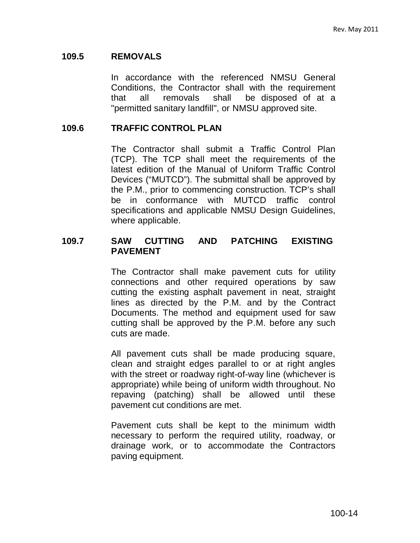## **109.5 REMOVALS**

In accordance with the referenced NMSU General Conditions, the Contractor shall with the requirement that all removals shall be disposed of at a "permitted sanitary landfill", or NMSU approved site.

## **109.6 TRAFFIC CONTROL PLAN**

The Contractor shall submit a Traffic Control Plan (TCP). The TCP shall meet the requirements of the latest edition of the Manual of Uniform Traffic Control Devices ("MUTCD"). The submittal shall be approved by the P.M., prior to commencing construction. TCP's shall be in conformance with MUTCD traffic control specifications and applicable NMSU Design Guidelines, where applicable.

### **109.7 SAW CUTTING AND PATCHING EXISTING PAVEMENT**

The Contractor shall make pavement cuts for utility connections and other required operations by saw cutting the existing asphalt pavement in neat, straight lines as directed by the P.M. and by the Contract Documents. The method and equipment used for saw cutting shall be approved by the P.M. before any such cuts are made.

All pavement cuts shall be made producing square, clean and straight edges parallel to or at right angles with the street or roadway right-of-way line (whichever is appropriate) while being of uniform width throughout. No repaving (patching) shall be allowed until these pavement cut conditions are met.

Pavement cuts shall be kept to the minimum width necessary to perform the required utility, roadway, or drainage work, or to accommodate the Contractors paving equipment.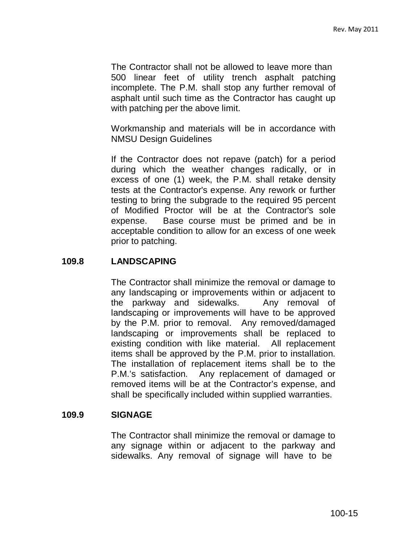The Contractor shall not be allowed to leave more than 500 linear feet of utility trench asphalt patching incomplete. The P.M. shall stop any further removal of asphalt until such time as the Contractor has caught up with patching per the above limit.

Workmanship and materials will be in accordance with NMSU Design Guidelines

If the Contractor does not repave (patch) for a period during which the weather changes radically, or in excess of one (1) week, the P.M. shall retake density tests at the Contractor's expense. Any rework or further testing to bring the subgrade to the required 95 percent of Modified Proctor will be at the Contractor's sole expense. Base course must be primed and be in acceptable condition to allow for an excess of one week prior to patching.

## **109.8 LANDSCAPING**

The Contractor shall minimize the removal or damage to any landscaping or improvements within or adjacent to the parkway and sidewalks. Any removal of landscaping or improvements will have to be approved by the P.M. prior to removal. Any removed/damaged landscaping or improvements shall be replaced to existing condition with like material. All replacement items shall be approved by the P.M. prior to installation. The installation of replacement items shall be to the P.M.'s satisfaction. Any replacement of damaged or removed items will be at the Contractor's expense, and shall be specifically included within supplied warranties.

## **109.9 SIGNAGE**

The Contractor shall minimize the removal or damage to any signage within or adjacent to the parkway and sidewalks. Any removal of signage will have to be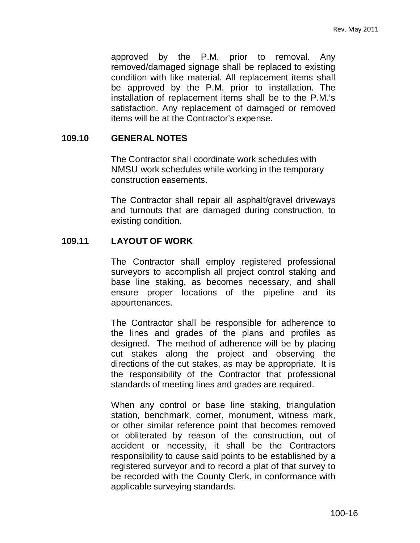approved by the P.M. prior to removal. Any removed/damaged signage shall be replaced to existing condition with like material. All replacement items shall be approved by the P.M. prior to installation. The installation of replacement items shall be to the P.M.'s satisfaction. Any replacement of damaged or removed items will be at the Contractor's expense.

### **109.10 GENERAL NOTES**

The Contractor shall coordinate work schedules with NMSU work schedules while working in the temporary construction easements.

The Contractor shall repair all asphalt/gravel driveways and turnouts that are damaged during construction, to existing condition.

### **109.11 LAYOUT OF WORK**

The Contractor shall employ registered professional surveyors to accomplish all project control staking and base line staking, as becomes necessary, and shall ensure proper locations of the pipeline and its appurtenances.

The Contractor shall be responsible for adherence to the lines and grades of the plans and profiles as designed. The method of adherence will be by placing cut stakes along the project and observing the directions of the cut stakes, as may be appropriate. It is the responsibility of the Contractor that professional standards of meeting lines and grades are required.

When any control or base line staking, triangulation station, benchmark, corner, monument, witness mark, or other similar reference point that becomes removed or obliterated by reason of the construction, out of accident or necessity, it shall be the Contractors responsibility to cause said points to be established by a registered surveyor and to record a plat of that survey to be recorded with the County Clerk, in conformance with applicable surveying standards.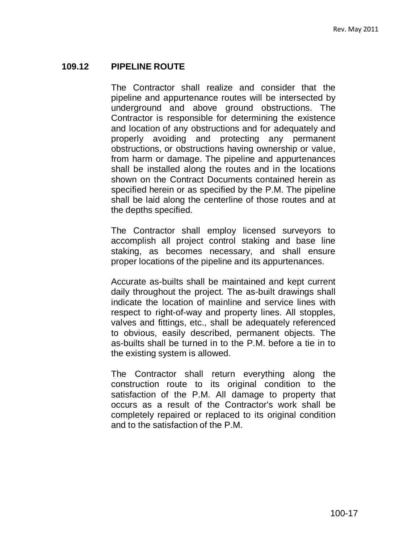## **109.12 PIPELINE ROUTE**

The Contractor shall realize and consider that the pipeline and appurtenance routes will be intersected by underground and above ground obstructions. The Contractor is responsible for determining the existence and location of any obstructions and for adequately and properly avoiding and protecting any permanent obstructions, or obstructions having ownership or value, from harm or damage. The pipeline and appurtenances shall be installed along the routes and in the locations shown on the Contract Documents contained herein as specified herein or as specified by the P.M. The pipeline shall be laid along the centerline of those routes and at the depths specified.

The Contractor shall employ licensed surveyors to accomplish all project control staking and base line staking, as becomes necessary, and shall ensure proper locations of the pipeline and its appurtenances.

Accurate as-builts shall be maintained and kept current daily throughout the project. The as-built drawings shall indicate the location of mainline and service lines with respect to right-of-way and property lines. All stopples, valves and fittings, etc., shall be adequately referenced to obvious, easily described, permanent objects. The as-builts shall be turned in to the P.M. before a tie in to the existing system is allowed.

The Contractor shall return everything along the construction route to its original condition to the satisfaction of the P.M. All damage to property that occurs as a result of the Contractor's work shall be completely repaired or replaced to its original condition and to the satisfaction of the P.M.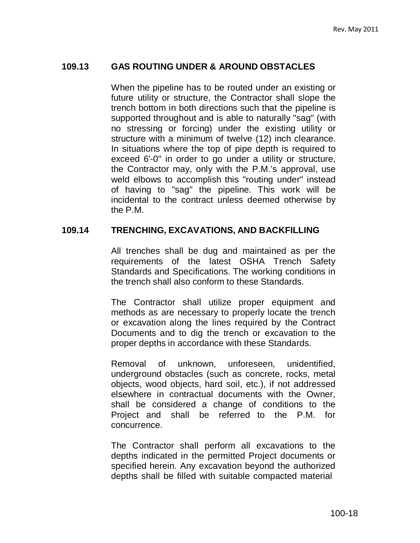### **109.13 GAS ROUTING UNDER & AROUND OBSTACLES**

When the pipeline has to be routed under an existing or future utility or structure, the Contractor shall slope the trench bottom in both directions such that the pipeline is supported throughout and is able to naturally "sag" (with no stressing or forcing) under the existing utility or structure with a minimum of twelve (12) inch clearance. In situations where the top of pipe depth is required to exceed 6'-0" in order to go under a utility or structure, the Contractor may, only with the P.M.'s approval, use weld elbows to accomplish this "routing under" instead of having to "sag" the pipeline. This work will be incidental to the contract unless deemed otherwise by the P.M.

### **109.14 TRENCHING, EXCAVATIONS, AND BACKFILLING**

All trenches shall be dug and maintained as per the requirements of the latest OSHA Trench Safety Standards and Specifications. The working conditions in the trench shall also conform to these Standards.

The Contractor shall utilize proper equipment and methods as are necessary to properly locate the trench or excavation along the lines required by the Contract Documents and to dig the trench or excavation to the proper depths in accordance with these Standards.

Removal of unknown, unforeseen, unidentified, underground obstacles (such as concrete, rocks, metal objects, wood objects, hard soil, etc.), if not addressed elsewhere in contractual documents with the Owner, shall be considered a change of conditions to the Project and shall be referred to the P.M. for concurrence.

The Contractor shall perform all excavations to the depths indicated in the permitted Project documents or specified herein. Any excavation beyond the authorized depths shall be filled with suitable compacted material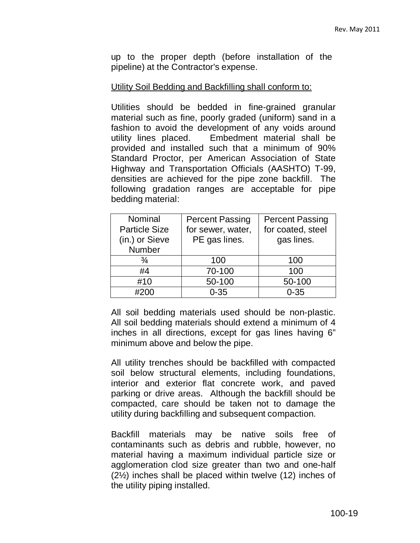up to the proper depth (before installation of the pipeline) at the Contractor's expense.

#### Utility Soil Bedding and Backfilling shall conform to:

Utilities should be bedded in fine-grained granular material such as fine, poorly graded (uniform) sand in a fashion to avoid the development of any voids around utility lines placed. Embedment material shall be provided and installed such that a minimum of 90% Standard Proctor, per American Association of State Highway and Transportation Officials (AASHTO) T-99, densities are achieved for the pipe zone backfill. The following gradation ranges are acceptable for pipe bedding material:

| Nominal              | <b>Percent Passing</b> | <b>Percent Passing</b> |  |
|----------------------|------------------------|------------------------|--|
| <b>Particle Size</b> | for sewer, water,      | for coated, steel      |  |
| (in.) or Sieve       | PE gas lines.          | gas lines.             |  |
| <b>Number</b>        |                        |                        |  |
| $\frac{3}{4}$        | 100                    | 100                    |  |
| #4                   | 70-100                 | 100                    |  |
| #10                  | 50-100                 | 50-100                 |  |
| #200                 | $0 - 35$               | $0 - 35$               |  |

All soil bedding materials used should be non-plastic. All soil bedding materials should extend a minimum of 4 inches in all directions, except for gas lines having 6" minimum above and below the pipe.

All utility trenches should be backfilled with compacted soil below structural elements, including foundations, interior and exterior flat concrete work, and paved parking or drive areas. Although the backfill should be compacted, care should be taken not to damage the utility during backfilling and subsequent compaction.

Backfill materials may be native soils free of contaminants such as debris and rubble, however, no material having a maximum individual particle size or agglomeration clod size greater than two and one-half (2½) inches shall be placed within twelve (12) inches of the utility piping installed.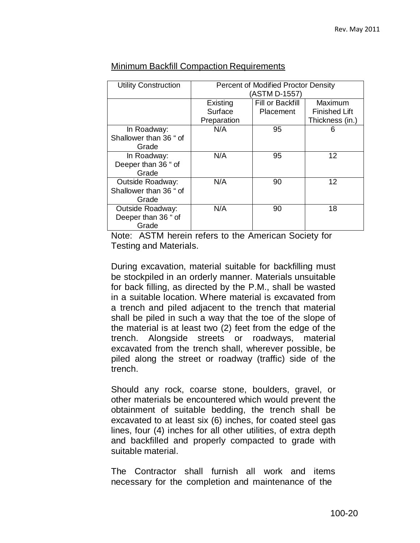| <b>Utility Construction</b> | <b>Percent of Modified Proctor Density</b> |                  |                      |
|-----------------------------|--------------------------------------------|------------------|----------------------|
|                             | (ASTM D-1557)                              |                  |                      |
|                             | Existing                                   | Fill or Backfill | Maximum              |
|                             | Surface                                    | <b>Placement</b> | <b>Finished Lift</b> |
|                             | Preparation                                |                  | Thickness (in.)      |
| In Roadway:                 | N/A                                        | 95               | 6                    |
| Shallower than 36 " of      |                                            |                  |                      |
| Grade                       |                                            |                  |                      |
| In Roadway:                 | N/A                                        | 95               | 12                   |
| Deeper than 36 " of         |                                            |                  |                      |
| Grade                       |                                            |                  |                      |
| Outside Roadway:            | N/A                                        | 90               | 12                   |
| Shallower than 36 " of      |                                            |                  |                      |
| Grade                       |                                            |                  |                      |
| <b>Outside Roadway:</b>     | N/A                                        | 90               | 18                   |
| Deeper than 36 " of         |                                            |                  |                      |
| Grade                       |                                            |                  |                      |

## Minimum Backfill Compaction Requirements

Note: ASTM herein refers to the American Society for Testing and Materials.

During excavation, material suitable for backfilling must be stockpiled in an orderly manner. Materials unsuitable for back filling, as directed by the P.M., shall be wasted in a suitable location. Where material is excavated from a trench and piled adjacent to the trench that material shall be piled in such a way that the toe of the slope of the material is at least two (2) feet from the edge of the trench. Alongside streets or roadways, material excavated from the trench shall, wherever possible, be piled along the street or roadway (traffic) side of the trench.

Should any rock, coarse stone, boulders, gravel, or other materials be encountered which would prevent the obtainment of suitable bedding, the trench shall be excavated to at least six (6) inches, for coated steel gas lines, four (4) inches for all other utilities, of extra depth and backfilled and properly compacted to grade with suitable material.

The Contractor shall furnish all work and items necessary for the completion and maintenance of the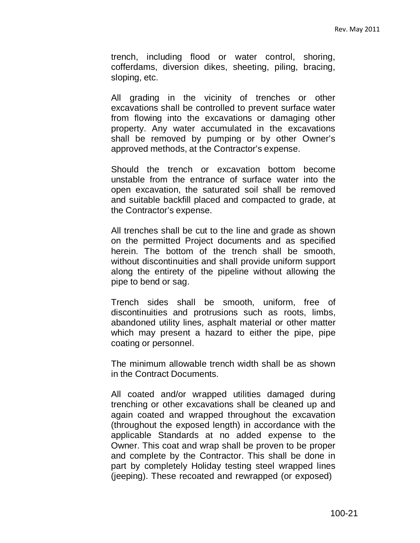trench, including flood or water control, shoring, cofferdams, diversion dikes, sheeting, piling, bracing, sloping, etc.

All grading in the vicinity of trenches or other excavations shall be controlled to prevent surface water from flowing into the excavations or damaging other property. Any water accumulated in the excavations shall be removed by pumping or by other Owner's approved methods, at the Contractor's expense.

Should the trench or excavation bottom become unstable from the entrance of surface water into the open excavation, the saturated soil shall be removed and suitable backfill placed and compacted to grade, at the Contractor's expense.

All trenches shall be cut to the line and grade as shown on the permitted Project documents and as specified herein. The bottom of the trench shall be smooth, without discontinuities and shall provide uniform support along the entirety of the pipeline without allowing the pipe to bend or sag.

Trench sides shall be smooth, uniform, free of discontinuities and protrusions such as roots, limbs, abandoned utility lines, asphalt material or other matter which may present a hazard to either the pipe, pipe coating or personnel.

The minimum allowable trench width shall be as shown in the Contract Documents.

All coated and/or wrapped utilities damaged during trenching or other excavations shall be cleaned up and again coated and wrapped throughout the excavation (throughout the exposed length) in accordance with the applicable Standards at no added expense to the Owner. This coat and wrap shall be proven to be proper and complete by the Contractor. This shall be done in part by completely Holiday testing steel wrapped lines (jeeping). These recoated and rewrapped (or exposed)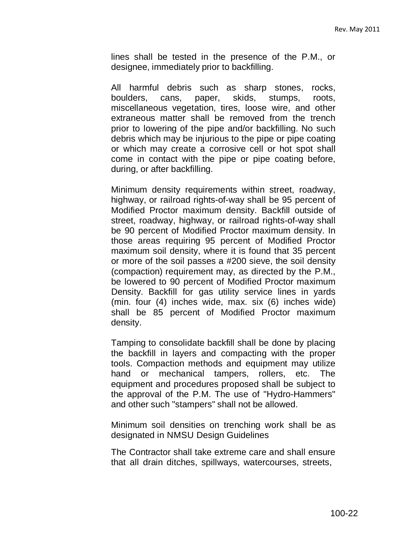lines shall be tested in the presence of the P.M., or designee, immediately prior to backfilling.

All harmful debris such as sharp stones, rocks, boulders, cans, paper, skids, stumps, roots, miscellaneous vegetation, tires, loose wire, and other extraneous matter shall be removed from the trench prior to lowering of the pipe and/or backfilling. No such debris which may be injurious to the pipe or pipe coating or which may create a corrosive cell or hot spot shall come in contact with the pipe or pipe coating before, during, or after backfilling.

Minimum density requirements within street, roadway, highway, or railroad rights-of-way shall be 95 percent of Modified Proctor maximum density. Backfill outside of street, roadway, highway, or railroad rights-of-way shall be 90 percent of Modified Proctor maximum density. In those areas requiring 95 percent of Modified Proctor maximum soil density, where it is found that 35 percent or more of the soil passes a #200 sieve, the soil density (compaction) requirement may, as directed by the P.M., be lowered to 90 percent of Modified Proctor maximum Density. Backfill for gas utility service lines in yards (min. four (4) inches wide, max. six (6) inches wide) shall be 85 percent of Modified Proctor maximum density.

Tamping to consolidate backfill shall be done by placing the backfill in layers and compacting with the proper tools. Compaction methods and equipment may utilize hand or mechanical tampers, rollers, etc. The equipment and procedures proposed shall be subject to the approval of the P.M. The use of "Hydro-Hammers" and other such "stampers" shall not be allowed.

Minimum soil densities on trenching work shall be as designated in NMSU Design Guidelines

The Contractor shall take extreme care and shall ensure that all drain ditches, spillways, watercourses, streets,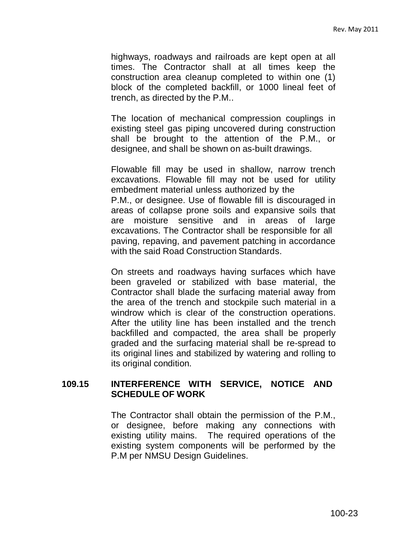highways, roadways and railroads are kept open at all times. The Contractor shall at all times keep the construction area cleanup completed to within one (1) block of the completed backfill, or 1000 lineal feet of trench, as directed by the P.M..

The location of mechanical compression couplings in existing steel gas piping uncovered during construction shall be brought to the attention of the P.M., or designee, and shall be shown on as-built drawings.

Flowable fill may be used in shallow, narrow trench excavations. Flowable fill may not be used for utility embedment material unless authorized by the

P.M., or designee. Use of flowable fill is discouraged in areas of collapse prone soils and expansive soils that are moisture sensitive and in areas of large excavations. The Contractor shall be responsible for all paving, repaving, and pavement patching in accordance with the said Road Construction Standards.

On streets and roadways having surfaces which have been graveled or stabilized with base material, the Contractor shall blade the surfacing material away from the area of the trench and stockpile such material in a windrow which is clear of the construction operations. After the utility line has been installed and the trench backfilled and compacted, the area shall be properly graded and the surfacing material shall be re-spread to its original lines and stabilized by watering and rolling to its original condition.

### **109.15 INTERFERENCE WITH SERVICE, NOTICE AND SCHEDULE OF WORK**

The Contractor shall obtain the permission of the P.M., or designee, before making any connections with existing utility mains. The required operations of the existing system components will be performed by the P.M per NMSU Design Guidelines.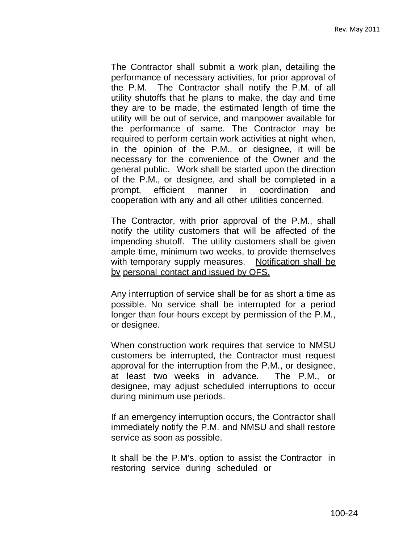The Contractor shall submit a work plan, detailing the performance of necessary activities, for prior approval of the P.M. The Contractor shall notify the P.M. of all utility shutoffs that he plans to make, the day and time they are to be made, the estimated length of time the utility will be out of service, and manpower available for the performance of same. The Contractor may be required to perform certain work activities at night when, in the opinion of the P.M., or designee, it will be necessary for the convenience of the Owner and the general public. Work shall be started upon the direction of the P.M., or designee, and shall be completed in a prompt, efficient manner in coordination and cooperation with any and all other utilities concerned.

The Contractor, with prior approval of the P.M., shall notify the utility customers that will be affected of the impending shutoff. The utility customers shall be given ample time, minimum two weeks, to provide themselves with temporary supply measures. Notification shall be by personal contact and issued by OFS.

Any interruption of service shall be for as short a time as possible. No service shall be interrupted for a period longer than four hours except by permission of the P.M., or designee.

When construction work requires that service to NMSU customers be interrupted, the Contractor must request approval for the interruption from the P.M., or designee, at least two weeks in advance. The P.M., or designee, may adjust scheduled interruptions to occur during minimum use periods.

If an emergency interruption occurs, the Contractor shall immediately notify the P.M. and NMSU and shall restore service as soon as possible.

It shall be the P.M's. option to assist the Contractor in restoring service during scheduled or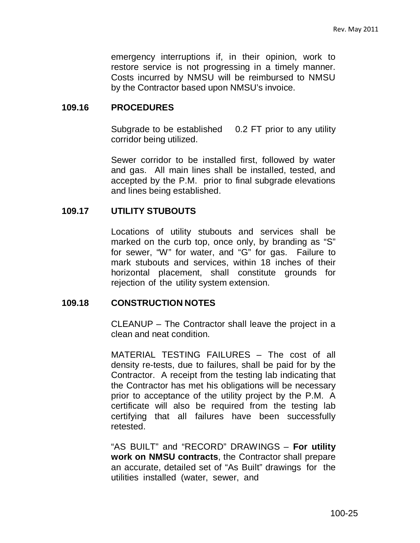emergency interruptions if, in their opinion, work to restore service is not progressing in a timely manner. Costs incurred by NMSU will be reimbursed to NMSU by the Contractor based upon NMSU's invoice.

#### **109.16 PROCEDURES**

Subgrade to be established 0.2 FT prior to any utility corridor being utilized.

Sewer corridor to be installed first, followed by water and gas. All main lines shall be installed, tested, and accepted by the P.M. prior to final subgrade elevations and lines being established.

#### **109.17 UTILITY STUBOUTS**

Locations of utility stubouts and services shall be marked on the curb top, once only, by branding as "S" for sewer, "W" for water, and "G" for gas. Failure to mark stubouts and services, within 18 inches of their horizontal placement, shall constitute grounds for rejection of the utility system extension.

#### **109.18 CONSTRUCTION NOTES**

CLEANUP – The Contractor shall leave the project in a clean and neat condition.

MATERIAL TESTING FAILURES – The cost of all density re-tests, due to failures, shall be paid for by the Contractor. A receipt from the testing lab indicating that the Contractor has met his obligations will be necessary prior to acceptance of the utility project by the P.M. A certificate will also be required from the testing lab certifying that all failures have been successfully retested.

"AS BUILT" and "RECORD" DRAWINGS – **For utility work on NMSU contracts**, the Contractor shall prepare an accurate, detailed set of "As Built" drawings for the utilities installed (water, sewer, and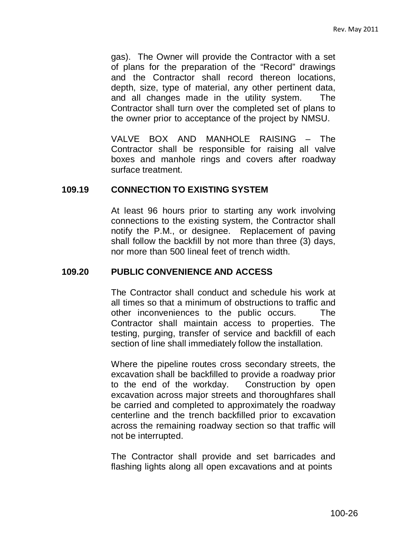gas). The Owner will provide the Contractor with a set of plans for the preparation of the "Record" drawings and the Contractor shall record thereon locations, depth, size, type of material, any other pertinent data, and all changes made in the utility system. The Contractor shall turn over the completed set of plans to the owner prior to acceptance of the project by NMSU.

VALVE BOX AND MANHOLE RAISING – The Contractor shall be responsible for raising all valve boxes and manhole rings and covers after roadway surface treatment.

#### **109.19 CONNECTION TO EXISTING SYSTEM**

At least 96 hours prior to starting any work involving connections to the existing system, the Contractor shall notify the P.M., or designee. Replacement of paving shall follow the backfill by not more than three (3) days, nor more than 500 lineal feet of trench width.

## **109.20 PUBLIC CONVENIENCE AND ACCESS**

The Contractor shall conduct and schedule his work at all times so that a minimum of obstructions to traffic and other inconveniences to the public occurs. The Contractor shall maintain access to properties. The testing, purging, transfer of service and backfill of each section of line shall immediately follow the installation.

Where the pipeline routes cross secondary streets, the excavation shall be backfilled to provide a roadway prior to the end of the workday. Construction by open excavation across major streets and thoroughfares shall be carried and completed to approximately the roadway centerline and the trench backfilled prior to excavation across the remaining roadway section so that traffic will not be interrupted.

The Contractor shall provide and set barricades and flashing lights along all open excavations and at points